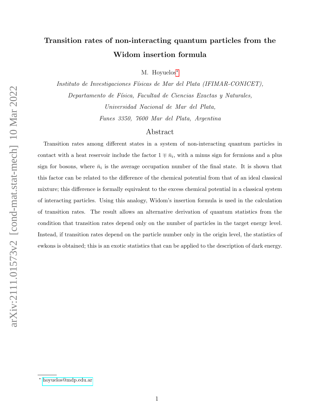# Transition rates of non-interacting quantum particles from the Widom insertion formula

M. Hoyuelos<sup>\*</sup>

Instituto de Investigaciones Físicas de Mar del Plata (IFIMAR-CONICET), Departamento de Física, Facultad de Ciencias Exactas y Naturales, Universidad Nacional de Mar del Plata, Funes 3350, 7600 Mar del Plata, Argentina

# Abstract

Transition rates among different states in a system of non-interacting quantum particles in contact with a heat reservoir include the factor  $1 \mp \bar{n}_i$ , with a minus sign for fermions and a plus sign for bosons, where  $\bar{n}_i$  is the average occupation number of the final state. It is shown that this factor can be related to the difference of the chemical potential from that of an ideal classical mixture; this difference is formally equivalent to the excess chemical potential in a classical system of interacting particles. Using this analogy, Widom's insertion formula is used in the calculation of transition rates. The result allows an alternative derivation of quantum statistics from the condition that transition rates depend only on the number of particles in the target energy level. Instead, if transition rates depend on the particle number only in the origin level, the statistics of ewkons is obtained; this is an exotic statistics that can be applied to the description of dark energy.

<span id="page-0-0"></span><sup>∗</sup> [hoyuelos@mdp.edu.ar](mailto:hoyuelos@mdp.edu.ar)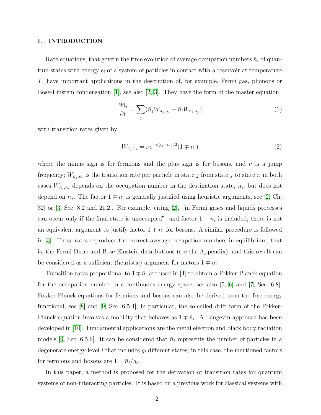## I. INTRODUCTION

Rate equations, that govern the time evolution of average occupation numbers  $\bar{n}_i$  of quantum states with energy  $\epsilon_i$  of a system of particles in contact with a reservoir at temperature T, have important applications in the description of, for example, Fermi gas, phonons or Bose-Einstein condensation [\[1\]](#page-16-0), see also [\[2,](#page-16-1) [3\]](#page-16-2). They have the form of the master equation,

<span id="page-1-1"></span>
$$
\frac{\partial \bar{n}_i}{\partial t} = \sum_j (\bar{n}_j W_{\bar{n}_j, \bar{n}_i} - \bar{n}_i W_{\bar{n}_i, \bar{n}_j}) \tag{1}
$$

with transition rates given by

<span id="page-1-0"></span>
$$
W_{\bar{n}_j, \bar{n}_i} = \nu e^{-\beta(\epsilon_i - \epsilon_j)/2} (1 \mp \bar{n}_i)
$$
\n<sup>(2)</sup>

where the minus sign is for fermions and the plus sign is for bosons, and  $\nu$  is a jump frequency;  $W_{\bar{n}_j, \bar{n}_i}$  is the transition rate per particle in state j from state j to state i; in both cases  $W_{\bar{n}_j,\bar{n}_i}$  depends on the occupation number in the destination state,  $\bar{n}_i$ , but does not depend on  $\bar{n}_j$ . The factor  $1 \mp \bar{n}_i$  is generally justified using heuristic arguments, see [\[2,](#page-16-1) Ch. 32] or [\[3,](#page-16-2) Sec. 8.2 and 21.2]. For example, citing [\[2\]](#page-16-1), "in Fermi gases and liquids processes can occur only if the final state is unoccupied", and factor  $1 - \bar{n}_i$  is included; there is not an equivalent argument to justify factor  $1 + \bar{n}_i$  for bosons. A similar procedure is followed in [\[3\]](#page-16-2). These rates reproduce the correct average occupation numbers in equilibrium, that is, the Fermi-Dirac and Bose-Einstein distributions (see the Appendix), and this result can be considered as a sufficient (heuristic) argument for factors  $1 \mp \bar{n}_i$ .

Transition rates proportional to  $1 \mp \bar{n}_i$  are used in [\[4\]](#page-16-3) to obtain a Fokker-Planck equation for the occupation number in a continuous energy space, see also [\[5,](#page-16-4) [6\]](#page-16-5) and [\[7,](#page-16-6) Sec. 6.8]. Fokker-Planck equations for fermions and bosons can also be derived from the free energy functional, see  $|8|$  and  $|9$ , Sec. 6.5.4; in particular, the so-called drift form of the Fokker-Planck equation involves a mobility that behaves as  $1 \mp \bar{n}_i$ . A Langevin approach has been developed in [\[10\]](#page-16-9). Fundamental applications are the metal electron and black body radiation models [\[9,](#page-16-8) Sec. 6.5.6]. It can be considered that  $\bar{n}_i$  represents the number of particles in a degenerate energy level i that includes  $g_i$  different states; in this case, the mentioned factors for fermions and bosons are  $1 \mp \bar{n}_i/g_i$ .

In this paper, a method is proposed for the derivation of transition rates for quantum systems of non-interacting particles. It is based on a previous work for classical systems with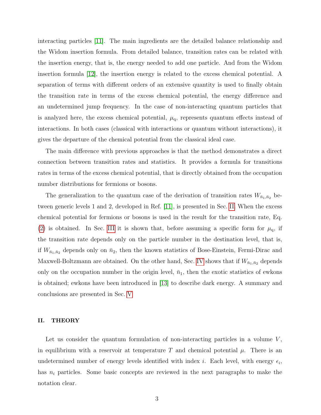interacting particles [\[11\]](#page-16-10). The main ingredients are the detailed balance relationship and the Widom insertion formula. From detailed balance, transition rates can be related with the insertion energy, that is, the energy needed to add one particle. And from the Widom insertion formula [\[12\]](#page-16-11), the insertion energy is related to the excess chemical potential. A separation of terms with different orders of an extensive quantity is used to finally obtain the transition rate in terms of the excess chemical potential, the energy difference and an undetermined jump frequency. In the case of non-interacting quantum particles that is analyzed here, the excess chemical potential,  $\mu_{q}$ , represents quantum effects instead of interactions. In both cases (classical with interactions or quantum without interactions), it gives the departure of the chemical potential from the classical ideal case.

The main difference with previous approaches is that the method demonstrates a direct connection between transition rates and statistics. It provides a formula for transitions rates in terms of the excess chemical potential, that is directly obtained from the occupation number distributions for fermions or bosons.

The generalization to the quantum case of the derivation of transition rates  $W_{\bar{n}_1,\bar{n}_2}$  between generic levels 1 and 2, developed in Ref. [\[11\]](#page-16-10), is presented in Sec. [II.](#page-2-0) When the excess chemical potential for fermions or bosons is used in the result for the transition rate, Eq. [\(2\)](#page-1-0) is obtained. In Sec. [III](#page-6-0) it is shown that, before assuming a specific form for  $\mu_q$ , if the transition rate depends only on the particle number in the destination level, that is, if  $W_{\bar{n}_1,\bar{n}_2}$  depends only on  $\bar{n}_2$ , then the known statistics of Bose-Einstein, Fermi-Dirac and Maxwell-Boltzmann are obtained. On the other hand, Sec. [IV](#page-7-0) shows that if  $W_{\bar{n}_1,\bar{n}_2}$  depends only on the occupation number in the origin level,  $\bar{n}_1$ , then the exotic statistics of ewkons is obtained; ewkons have been introduced in [\[13\]](#page-16-12) to describe dark energy. A summary and conclusions are presented in Sec. [V](#page-13-0)

# <span id="page-2-0"></span>II. THEORY

Let us consider the quantum formulation of non-interacting particles in a volume  $V$ , in equilibrium with a reservoir at temperature T and chemical potential  $\mu$ . There is an undetermined number of energy levels identified with index *i*. Each level, with energy  $\epsilon_i$ , has  $n_i$  particles. Some basic concepts are reviewed in the next paragraphs to make the notation clear.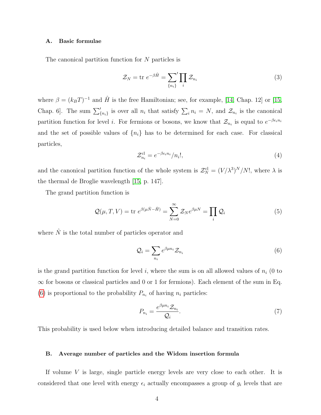#### <span id="page-3-3"></span>A. Basic formulae

The canonical partition function for N particles is

$$
\mathcal{Z}_N = \text{tr } e^{-\beta \hat{H}} = \sum_{\{n_i\}}' \prod_i \mathcal{Z}_{n_i} \tag{3}
$$

where  $\beta = (k_B T)^{-1}$  and  $\hat{H}$  is the free Hamiltonian; see, for example, [\[14,](#page-16-13) Chap. 12] or [\[15,](#page-16-14) Chap. 6. The sum  $\sum_{n_i}^{\prime}$  is over all  $n_i$  that satisfy  $\sum_i n_i = N$ , and  $\mathcal{Z}_{n_i}$  is the canonical partition function for level *i*. For fermions or bosons, we know that  $\mathcal{Z}_{n_i}$  is equal to  $e^{-\beta \epsilon_i n_i}$ and the set of possible values of  $\{n_i\}$  has to be determined for each case. For classical particles,

<span id="page-3-1"></span>
$$
\mathcal{Z}_{n_i}^{\text{cl}} = e^{-\beta \epsilon_i n_i} / n_i!,\tag{4}
$$

and the canonical partition function of the whole system is  $\mathcal{Z}_N^{\text{cl}} = (V/\lambda^3)^N/N!$ , where  $\lambda$  is the thermal de Broglie wavelength [\[15,](#page-16-14) p. 147].

The grand partition function is

$$
\mathcal{Q}(\mu, T, V) = \text{tr } e^{\beta(\mu \hat{N} - \hat{H})} = \sum_{N=0}^{\infty} \mathcal{Z}_N e^{\beta \mu N} = \prod_i \mathcal{Q}_i
$$
 (5)

where  $\hat{N}$  is the total number of particles operator and

<span id="page-3-0"></span>
$$
\mathcal{Q}_i = \sum_{n_i} e^{\beta \mu n_i} \mathcal{Z}_{n_i} \tag{6}
$$

is the grand partition function for level i, where the sum is on all allowed values of  $n_i$  (0 to  $\infty$  for bosons or classical particles and 0 or 1 for fermions). Each element of the sum in Eq. [\(6\)](#page-3-0) is proportional to the probability  $P_{n_i}$  of having  $n_i$  particles:

<span id="page-3-2"></span>
$$
P_{n_i} = \frac{e^{\beta \mu n_i} \mathcal{Z}_{n_i}}{\mathcal{Q}_i}.\tag{7}
$$

This probability is used below when introducing detailed balance and transition rates.

#### B. Average number of particles and the Widom insertion formula

If volume  $V$  is large, single particle energy levels are very close to each other. It is considered that one level with energy  $\epsilon_i$  actually encompasses a group of  $g_i$  levels that are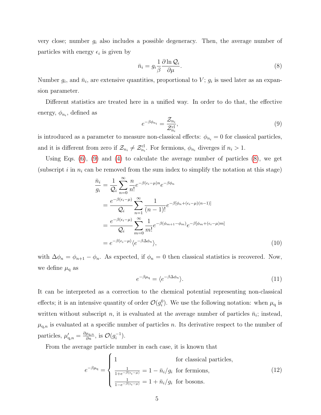very close; number  $g_i$  also includes a possible degeneracy. Then, the average number of particles with energy  $\epsilon_i$  is given by

<span id="page-4-1"></span>
$$
\bar{n}_i = g_i \frac{1}{\beta} \frac{\partial \ln \mathcal{Q}_i}{\partial \mu}.
$$
\n(8)

Number  $g_i$ , and  $\bar{n}_i$ , are extensive quantities, proportional to V;  $g_i$  is used later as an expansion parameter.

Different statistics are treated here in a unified way. In order to do that, the effective energy,  $\phi_{n_i}$ , defined as

<span id="page-4-0"></span>
$$
e^{-\beta \phi_{n_i}} = \frac{\mathcal{Z}_{n_i}}{\mathcal{Z}_{n_i}^{\text{cl}}},\tag{9}
$$

is introduced as a parameter to measure non-classical effects:  $\phi_{n_i} = 0$  for classical particles, and it is different from zero if  $\mathcal{Z}_{n_i} \neq \mathcal{Z}_{n_i}^{cl}$ . For fermions,  $\phi_{n_i}$  diverges if  $n_i > 1$ .

Using Eqs. [\(6\)](#page-3-0), [\(9\)](#page-4-0) and [\(4\)](#page-3-1) to calculate the average number of particles [\(8\)](#page-4-1), we get (subscript i in  $n_i$  can be removed from the sum index to simplify the notation at this stage)

$$
\begin{split}\n\bar{n}_i &= \frac{1}{\mathcal{Q}_i} \sum_{n=0}^{\infty} \frac{n}{n!} e^{-\beta(\epsilon_i - \mu)n} e^{-\beta \phi_n} \\
&= \frac{e^{-\beta(\epsilon_i - \mu)}}{\mathcal{Q}_i} \sum_{n=1}^{\infty} \frac{1}{(n-1)!} e^{-\beta[\phi_n + (\epsilon_i - \mu)(n-1)]} \\
&= \frac{e^{-\beta(\epsilon_i - \mu)}}{\mathcal{Q}_i} \sum_{m=0}^{\infty} \frac{1}{m!} e^{-\beta(\phi_{m+1} - \phi_m)} e^{-\beta[\phi_m + (\epsilon_i - \mu)m]} \\
&= e^{-\beta(\epsilon_i - \mu)} \langle e^{-\beta \Delta \phi_n} \rangle,\n\end{split} \tag{10}
$$

with  $\Delta\phi_n = \phi_{n+1} - \phi_n$ . As expected, if  $\phi_n = 0$  then classical statistics is recovered. Now, we define  $\mu_{q}$  as

<span id="page-4-4"></span><span id="page-4-2"></span>
$$
e^{-\beta \mu_{q}} = \langle e^{-\beta \Delta \phi_{n}} \rangle.
$$
 (11)

It can be interpreted as a correction to the chemical potential representing non-classical effects; it is an intensive quantity of order  $\mathcal{O}(g_i^0)$ . We use the following notation: when  $\mu_q$  is written without subscript n, it is evaluated at the average number of particles  $\bar{n}_i$ ; instead,  $\mu_{q,n}$  is evaluated at a specific number of particles n. Its derivative respect to the number of particles,  $\mu'_{\mathbf{q},n} = \frac{\partial \mu_{\mathbf{q},n}}{\partial n}$ , is  $\mathcal{O}(g_i^{-1})$  $\binom{-1}{i}$ .

From the average particle number in each case, it is known that

<span id="page-4-3"></span>
$$
e^{-\beta \mu_{\mathbf{q}}} = \begin{cases} 1 & \text{for classical particles,} \\ \frac{1}{1 + e^{-\beta(\epsilon_i - \mu)}} = 1 - \bar{n}_i / g_i & \text{for fermions,} \\ \frac{1}{1 - e^{-\beta(\epsilon_i - \mu)}} = 1 + \bar{n}_i / g_i & \text{for bosons.} \end{cases} \tag{12}
$$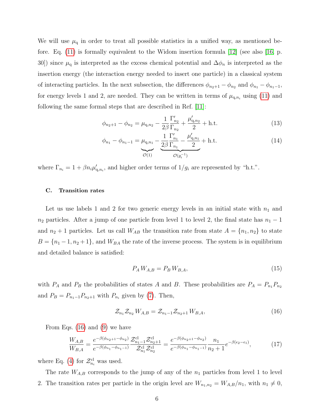We will use  $\mu_q$  in order to treat all possible statistics in a unified way, as mentioned before. Eq. [\(11\)](#page-4-2) is formally equivalent to the Widom insertion formula [\[12\]](#page-16-11) (see also [\[16,](#page-17-0) p. 30]) since  $\mu_q$  is interpreted as the excess chemical potential and  $\Delta \phi_n$  is interpreted as the insertion energy (the interaction energy needed to insert one particle) in a classical system of interacting particles. In the next subsection, the differences  $\phi_{n_2+1} - \phi_{n_2}$  and  $\phi_{n_1} - \phi_{n_1-1}$ , for energy levels 1 and 2, are needed. They can be written in terms of  $\mu_{q,n_i}$  using [\(11\)](#page-4-2) and following the same formal steps that are described in Ref. [\[11\]](#page-16-10):

<span id="page-5-1"></span>
$$
\phi_{n_2+1} - \phi_{n_2} = \mu_{\mathbf{q},n_2} - \frac{1}{2\beta} \frac{\Gamma'_{n_2}}{\Gamma_{n_2}} + \frac{\mu'_{\mathbf{q},n_2}}{2} + \text{h.t.}
$$
\n(13)

<span id="page-5-2"></span>
$$
\phi_{n_1} - \phi_{n_1-1} = \underbrace{\mu_{q,n_1}}_{\mathcal{O}(1)} - \underbrace{\frac{1}{2\beta} \frac{\Gamma'_{n_1}}{\Gamma_{n_1}} - \frac{\mu'_{q,n_1}}{2}}_{\mathcal{O}(g_i^{-1})} + \text{h.t.}
$$
\n(14)

where  $\Gamma_{n_i} = 1 + \beta n_i \mu'_{n_i}$ , and higher order terms of  $1/g_i$  are represented by "h.t.".

# C. Transition rates

Let us use labels 1 and 2 for two generic energy levels in an initial state with  $n_1$  and  $n_2$  particles. After a jump of one particle from level 1 to level 2, the final state has  $n_1 - 1$ and  $n_2 + 1$  particles. Let us call  $W_{AB}$  the transition rate from state  $A = \{n_1, n_2\}$  to state  $B = \{n_1 - 1, n_2 + 1\}$ , and  $W_{BA}$  the rate of the inverse process. The system is in equilibrium and detailed balance is satisfied:

$$
P_A W_{A,B} = P_B W_{B,A},\tag{15}
$$

with  $P_A$  and  $P_B$  the probabilities of states A and B. These probabilities are  $P_A = P_{n_1}P_{n_2}$ and  $P_B = P_{n_1-1}P_{n_2+1}$  with  $P_{n_i}$  given by [\(7\)](#page-3-2). Then,

<span id="page-5-0"></span>
$$
\mathcal{Z}_{n_1}\mathcal{Z}_{n_2}W_{A,B} = \mathcal{Z}_{n_1-1}\mathcal{Z}_{n_2+1}W_{B,A},\tag{16}
$$

From Eqs. [\(16\)](#page-5-0) and [\(9\)](#page-4-0) we have

$$
\frac{W_{A,B}}{W_{B,A}} = \frac{e^{-\beta(\phi_{n_2+1} - \phi_{n_2})}}{e^{-\beta(\phi_{n_1} - \phi_{n_1-1})}} \frac{\mathcal{Z}_{n_1-1}^{\text{cl}} \mathcal{Z}_{n_2+1}^{\text{cl}}}{\mathcal{Z}_{n_1}^{\text{cl}} \mathcal{Z}_{n_2}^{\text{cl}}} = \frac{e^{-\beta(\phi_{n_2+1} - \phi_{n_2})}}{e^{-\beta(\phi_{n_1} - \phi_{n_1-1})}} \frac{n_1}{n_2 + 1} e^{-\beta(\epsilon_2 - \epsilon_1)},\tag{17}
$$

where Eq. [\(4\)](#page-3-1) for  $\mathcal{Z}_{n_i}^{\text{cl}}$  was used.

The rate  $W_{A,B}$  corresponds to the jump of any of the  $n_1$  particles from level 1 to level 2. The transition rates per particle in the origin level are  $W_{n_1,n_2} = W_{A,B}/n_1$ , with  $n_1 \neq 0$ ,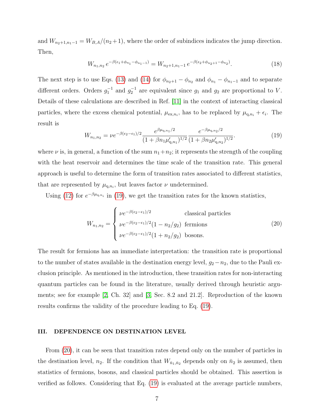and  $W_{n_2+1,n_1-1} = W_{B,A}/(n_2+1)$ , where the order of subindices indicates the jump direction. Then,

$$
W_{n_1,n_2} e^{-\beta(\epsilon_1 + \phi_{n_1} - \phi_{n_1 - 1})} = W_{n_2+1,n_1-1} e^{-\beta(\epsilon_2 + \phi_{n_2+1} - \phi_{n_2})}.
$$
 (18)

The next step is to use Eqs. [\(13\)](#page-5-1) and [\(14\)](#page-5-2) for  $\phi_{n_2+1} - \phi_{n_2}$  and  $\phi_{n_1} - \phi_{n_1-1}$  and to separate different orders. Orders  $g_1^{-1}$  and  $g_2^{-1}$  are equivalent since  $g_1$  and  $g_2$  are proportional to V. Details of these calculations are described in Ref. [\[11\]](#page-16-10) in the context of interacting classical particles, where the excess chemical potential,  $\mu_{\text{ex},n_i}$ , has to be replaced by  $\mu_{\text{q},n_i} + \epsilon_i$ . The result is

<span id="page-6-1"></span>
$$
W_{n_1,n_2} = \nu e^{-\beta(\epsilon_2 - \epsilon_1)/2} \frac{e^{\beta \mu_{\mathbf{q},n_1}/2}}{(1 + \beta n_1 \mu'_{\mathbf{q},n_1})^{1/2}} \frac{e^{-\beta \mu_{\mathbf{q},n_2}/2}}{(1 + \beta n_2 \mu'_{\mathbf{q},n_2})^{1/2}}.
$$
(19)

where  $\nu$  is, in general, a function of the sum  $n_1+n_2$ ; it represents the strength of the coupling with the heat reservoir and determines the time scale of the transition rate. This general approach is useful to determine the form of transition rates associated to different statistics, that are represented by  $\mu_{q,n_i}$ , but leaves factor  $\nu$  undetermined.

Using [\(12\)](#page-4-3) for  $e^{-\beta \mu_{\text{q},n_i}}$  in [\(19\)](#page-6-1), we get the transition rates for the known statistics,

<span id="page-6-2"></span>
$$
W_{n_1,n_2} = \begin{cases} \nu e^{-\beta(\epsilon_2 - \epsilon_1)/2} & \text{classical particles} \\ \nu e^{-\beta(\epsilon_2 - \epsilon_1)/2} (1 - n_2/g_2) & \text{fermions} \\ \nu e^{-\beta(\epsilon_2 - \epsilon_1)/2} (1 + n_2/g_2) & \text{bosons.} \end{cases}
$$
(20)

The result for fermions has an immediate interpretation: the transition rate is proportional to the number of states available in the destination energy level,  $g_2-n_2$ , due to the Pauli exclusion principle. As mentioned in the introduction, these transition rates for non-interacting quantum particles can be found in the literature, usually derived through heuristic arguments; see for example [\[2,](#page-16-1) Ch. 32] and [\[3,](#page-16-2) Sec. 8.2 and 21.2]. Reproduction of the known results confirms the validity of the procedure leading to Eq. [\(19\)](#page-6-1).

# <span id="page-6-0"></span>III. DEPENDENCE ON DESTINATION LEVEL

From [\(20\)](#page-6-2), it can be seen that transition rates depend only on the number of particles in the destination level,  $n_2$ . If the condition that  $W_{\bar{n}_1,\bar{n}_2}$  depends only on  $\bar{n}_2$  is assumed, then statistics of fermions, bosons, and classical particles should be obtained. This assertion is verified as follows. Considering that Eq. [\(19\)](#page-6-1) is evaluated at the average particle numbers,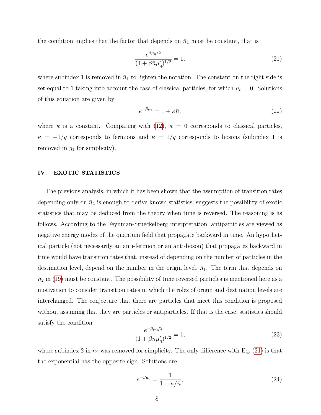the condition implies that the factor that depends on  $\bar{n}_1$  must be constant, that is

<span id="page-7-1"></span>
$$
\frac{e^{\beta \mu_{\mathbf{q}}/2}}{(1+\beta \bar{n}\mu'_{\mathbf{q}})^{1/2}} = 1,\tag{21}
$$

where subindex 1 is removed in  $\bar{n}_1$  to lighten the notation. The constant on the right side is set equal to 1 taking into account the case of classical particles, for which  $\mu_q = 0$ . Solutions of this equation are given by

$$
e^{-\beta \mu_{\mathbf{q}}} = 1 + \kappa \bar{n},\tag{22}
$$

where  $\kappa$  is a constant. Comparing with [\(12\)](#page-4-3),  $\kappa = 0$  corresponds to classical particles,  $\kappa = -1/g$  corresponds to fermions and  $\kappa = 1/g$  corresponds to bosons (subindex 1 is removed in  $g_1$  for simplicity).

# <span id="page-7-0"></span>IV. EXOTIC STATISTICS

The previous analysis, in which it has been shown that the assumption of transition rates depending only on  $\bar{n}_2$  is enough to derive known statistics, suggests the possibility of exotic statistics that may be deduced from the theory when time is reversed. The reasoning is as follows. According to the Feynman-Stueckelberg interpretation, antiparticles are viewed as negative energy modes of the quantum field that propagate backward in time. An hypothetical particle (not necessarily an anti-fermion or an anti-boson) that propagates backward in time would have transition rates that, instead of depending on the number of particles in the destination level, depend on the number in the origin level,  $\bar{n}_1$ . The term that depends on  $n_2$  in [\(19\)](#page-6-1) must be constant. The possibility of time reversed particles is mentioned here as a motivation to consider transition rates in which the roles of origin and destination levels are interchanged. The conjecture that there are particles that meet this condition is proposed without assuming that they are particles or antiparticles. If that is the case, statistics should satisfy the condition

$$
\frac{e^{-\beta \mu_{\mathbf{q}}/2}}{(1+\beta \bar{n}\mu'_{\mathbf{q}})^{1/2}} = 1,\tag{23}
$$

where subindex 2 in  $\bar{n}_2$  was removed for simplicity. The only difference with Eq. [\(21\)](#page-7-1) is that the exponential has the opposite sign. Solutions are

$$
e^{-\beta \mu_{\mathbf{q}}} = \frac{1}{1 - \kappa / \bar{n}},\tag{24}
$$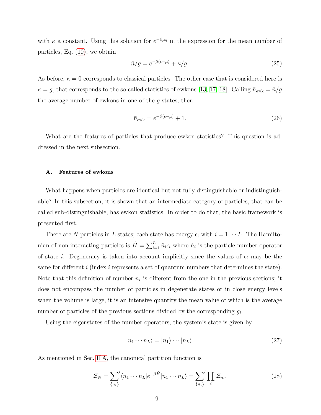with  $\kappa$  a constant. Using this solution for  $e^{-\beta\mu_q}$  in the expression for the mean number of particles, Eq. [\(10\)](#page-4-4), we obtain

<span id="page-8-1"></span>
$$
\bar{n}/g = e^{-\beta(\epsilon - \mu)} + \kappa/g. \tag{25}
$$

As before,  $\kappa = 0$  corresponds to classical particles. The other case that is considered here is  $\kappa = g$ , that corresponds to the so-called statistics of ewkons [\[13,](#page-16-12) [17,](#page-17-1) [18\]](#page-17-2). Calling  $\bar{n}_{\text{ewk}} = \bar{n}/g$ the average number of ewkons in one of the  $q$  states, then

<span id="page-8-0"></span>
$$
\bar{n}_{\text{ewk}} = e^{-\beta(\epsilon - \mu)} + 1. \tag{26}
$$

What are the features of particles that produce ewkon statistics? This question is addressed in the next subsection.

#### A. Features of ewkons

What happens when particles are identical but not fully distinguishable or indistinguishable? In this subsection, it is shown that an intermediate category of particles, that can be called sub-distinguishable, has ewkon statistics. In order to do that, the basic framework is presented first.

There are N particles in L states; each state has energy  $\epsilon_i$  with  $i = 1 \cdots L$ . The Hamiltonian of non-interacting particles is  $\hat{H} = \sum_{i=1}^{L} \hat{n}_i \epsilon_i$  where  $\hat{n}_i$  is the particle number operator of state *i*. Degeneracy is taken into account implicitly since the values of  $\epsilon_i$  may be the same for different i (index i represents a set of quantum numbers that determines the state). Note that this definition of number  $n_i$  is different from the one in the previous sections; it does not encompass the number of particles in degenerate states or in close energy levels when the volume is large, it is an intensive quantity the mean value of which is the average number of particles of the previous sections divided by the corresponding  $g_i$ .

Using the eigenstates of the number operators, the system's state is given by

$$
|n_1 \cdots n_L\rangle = |n_1\rangle \cdots |n_L\rangle. \tag{27}
$$

As mentioned in Sec. [II A,](#page-3-3) the canonical partition function is

$$
\mathcal{Z}_N = \sum_{\{n_i\}}' \langle n_1 \cdots n_L | e^{-\beta \hat{H}} | n_1 \cdots n_L \rangle = \sum_{\{n_i\}}' \prod_i \mathcal{Z}_{n_i}.
$$
 (28)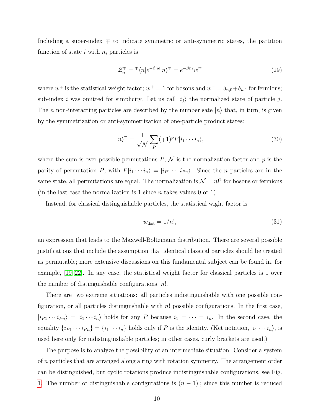Including a super-index  $\mp$  to indicate symmetric or anti-symmetric states, the partition function of state i with  $n_i$  particles is

$$
\mathcal{Z}_n^{\mp} = {}^{\mp} \langle n | e^{-\beta \hat{n}\epsilon} | n \rangle^{\mp} = e^{-\beta n \epsilon} w^{\mp}
$$
\n(29)

where  $w^{\pm}$  is the statistical weight factor;  $w^+=1$  for bosons and  $w^-=\delta_{n,0}+\delta_{n,1}$  for fermions; sub-index i was omitted for simplicity. Let us call  $|i_j\rangle$  the normalized state of particle j. The *n* non-interacting particles are described by the number sate  $|n\rangle$  that, in turn, is given by the symmetrization or anti-symmetrization of one-particle product states:

$$
|n\rangle^{\mp} = \frac{1}{\sqrt{N}} \sum_{P} (\mp 1)^{P} P |i_1 \cdots i_n\rangle, \tag{30}
$$

where the sum is over possible permutations  $P, \mathcal{N}$  is the normalization factor and p is the parity of permutation P, with  $P|i_1 \cdots i_n\rangle = |i_{P1} \cdots i_{Pn}\rangle$ . Since the n particles are in the same state, all permutations are equal. The normalization is  $\mathcal{N} = n!^2$  for bosons or fermions (in the last case the normalization is 1 since  $n$  takes values 0 or 1).

Instead, for classical distinguishable particles, the statistical wight factor is

$$
w_{\text{dist}} = 1/n!,\tag{31}
$$

an expression that leads to the Maxwell-Boltzmann distribution. There are several possible justifications that include the assumption that identical classical particles should be treated as permutable; more extensive discussions on this fundamental subject can be found in, for example, [\[19–](#page-17-3)[22\]](#page-17-4). In any case, the statistical weight factor for classical particles is 1 over the number of distinguishable configurations,  $n!$ .

There are two extreme situations: all particles indistinguishable with one possible configuration, or all particles distinguishable with  $n!$  possible configurations. In the first case,  $|i_{P1} \cdots i_{Pn}\rangle = |i_1 \cdots i_n\rangle$  holds for any P because  $i_1 = \cdots = i_n$ . In the second case, the equality  $\{i_{P1} \cdots i_{Pn}\} = \{i_1 \cdots i_n\}$  holds only if P is the identity. (Ket notation,  $|i_1 \cdots i_n\rangle$ , is used here only for indistinguishable particles; in other cases, curly brackets are used.)

The purpose is to analyze the possibility of an intermediate situation. Consider a system of n particles that are arranged along a ring with rotation symmetry. The arrangement order can be distinguished, but cyclic rotations produce indistinguishable configurations, see Fig. [1.](#page-10-0) The number of distinguishable configurations is  $(n-1)!$ ; since this number is reduced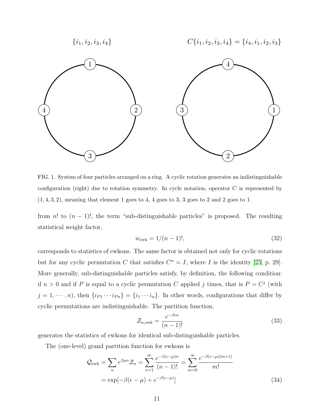

<span id="page-10-0"></span>FIG. 1. System of four particles arranged on a ring. A cyclic rotation generates an indistinguishable configuration (right) due to rotation symmetry. In cycle notation, operator  $C$  is represented by  $(1, 4, 3, 2)$ , meaning that element 1 goes to 4, 4 goes to 3, 3 goes to 2 and 2 goes to 1.

from n! to  $(n - 1)!$ , the term "sub-distinguishable particles" is proposed. The resulting statistical weight factor,

$$
w_{\rm ewk} = 1/(n-1)!,\tag{32}
$$

corresponds to statistics of ewkons. The same factor is obtained not only for cyclic rotations but for any cyclic permutation C that satisfies  $C^n = I$ , where I is the identity [\[23,](#page-17-5) p. 29]. More generally, sub-distinguishable particles satisfy, by definition, the following condition: if  $n > 0$  and if P is equal to a cyclic permutation C applied j times, that is  $P = C<sup>j</sup>$  (with  $j = 1, \dots, n$ , then  $\{i_{P1} \cdots i_{Pn}\} = \{i_1 \cdots i_n\}$ . In other words, configurations that differ by cyclic permutations are indistinguishable. The partition function,

$$
\mathcal{Z}_{n,\text{ewk}} = \frac{e^{-\beta \epsilon n}}{(n-1)!} \tag{33}
$$

generates the statistics of ewkons for identical sub-distinguishable particles.

The (one-level) grand partition function for ewkons is

$$
\mathcal{Q}_{ewk} = \sum_{n} e^{\beta \mu n} \mathcal{Z}_{n} = \sum_{n=1}^{\infty} \frac{e^{-\beta(\epsilon - \mu)n}}{(n-1)!} = \sum_{m=0}^{\infty} \frac{e^{-\beta(\epsilon - \mu)(m+1)}}{m!}
$$

$$
= \exp[-\beta(\epsilon - \mu) + e^{-\beta(\epsilon - \mu)}]
$$
(34)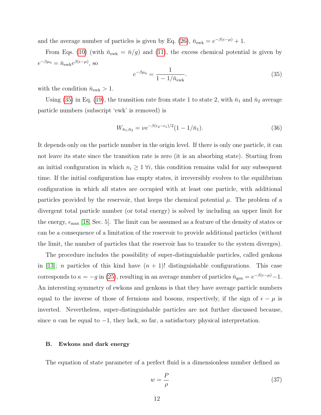and the average number of particles is given by Eq. [\(26\)](#page-8-0),  $\bar{n}_{ewk} = e^{-\beta(\epsilon - \mu)} + 1$ .

From Eqs. [\(10\)](#page-4-4) (with  $\bar{n}_{ewk} = \bar{n}/g$ ) and [\(11\)](#page-4-2), the excess chemical potential is given by  $e^{-\beta \mu_{\mathbf{q}}} = \bar{n}_{\text{ewk}} e^{\beta(\epsilon - \mu)}, \text{ so}$ 

<span id="page-11-0"></span>
$$
e^{-\beta \mu_{\rm q}} = \frac{1}{1 - 1/\bar{n}_{\rm ewk}}.\tag{35}
$$

with the condition  $\bar{n}_{\text{ewk}} > 1$ .

Using [\(35\)](#page-11-0) in Eq. [\(19\)](#page-6-1), the transition rate from state 1 to state 2, with  $\bar{n}_1$  and  $\bar{n}_2$  average particle numbers (subscript 'ewk' is removed) is

$$
W_{\bar{n}_1, \bar{n}_2} = \nu e^{-\beta(\epsilon_2 - \epsilon_1)/2} (1 - 1/\bar{n}_1). \tag{36}
$$

It depends only on the particle number in the origin level. If there is only one particle, it can not leave its state since the transition rate is zero (it is an absorbing state). Starting from an initial configuration in which  $n_i \geq 1$   $\forall i$ , this condition remains valid for any subsequent time. If the initial configuration has empty states, it irreversibly evolves to the equilibrium configuration in which all states are occupied with at least one particle, with additional particles provided by the reservoir, that keeps the chemical potential  $\mu$ . The problem of a divergent total particle number (or total energy) is solved by including an upper limit for the energy,  $\epsilon_{\text{max}}$  [\[18,](#page-17-2) Sec. 5]. The limit can be assumed as a feature of the density of states or can be a consequence of a limitation of the reservoir to provide additional particles (without the limit, the number of particles that the reservoir has to transfer to the system diverges).

The procedure includes the possibility of super-distinguishable particles, called genkons in [\[13\]](#page-16-12); *n* particles of this kind have  $(n + 1)!$  distinguishable configurations. This case corresponds to  $\kappa = -g$  in [\(25\)](#page-8-1), resulting in an average number of particles  $\bar{n}_{gen} = e^{-\beta(\epsilon - \mu)} - 1$ . An interesting symmetry of ewkons and genkons is that they have average particle numbers equal to the inverse of those of fermions and bosons, respectively, if the sign of  $\epsilon - \mu$  is inverted. Nevertheless, super-distinguishable particles are not further discussed because, since *n* can be equal to  $-1$ , they lack, so far, a satisfactory physical interpretation.

#### B. Ewkons and dark energy

The equation of state parameter of a perfect fluid is a dimensionless number defined as

$$
w = -\frac{P}{\rho} \tag{37}
$$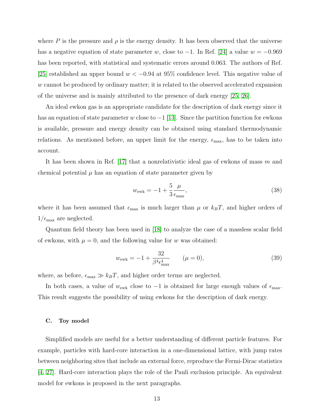where P is the pressure and  $\rho$  is the energy density. It has been observed that the universe has a negative equation of state parameter w, close to  $-1$ . In Ref. [\[24\]](#page-17-6) a value  $w = -0.969$ has been reported, with statistical and systematic errors around 0.063. The authors of Ref. [\[25\]](#page-17-7) established an upper bound  $w < -0.94$  at 95% confidence level. This negative value of w cannot be produced by ordinary matter; it is related to the observed accelerated expansion of the universe and is mainly attributed to the presence of dark energy [\[25,](#page-17-7) [26\]](#page-17-8).

An ideal ewkon gas is an appropriate candidate for the description of dark energy since it has an equation of state parameter w close to  $-1$  [\[13\]](#page-16-12). Since the partition function for ewkons is available, pressure and energy density can be obtained using standard thermodynamic relations. As mentioned before, an upper limit for the energy,  $\epsilon_{\text{max}}$ , has to be taken into account.

It has been shown in Ref. [\[17\]](#page-17-1) that a nonrelativistic ideal gas of ewkons of mass  $m$  and chemical potential  $\mu$  has an equation of state parameter given by

$$
w_{\rm ewk} = -1 + \frac{5}{3} \frac{\mu}{\epsilon_{\rm max}},\tag{38}
$$

where it has been assumed that  $\epsilon_{\text{max}}$  is much larger than  $\mu$  or  $k_BT$ , and higher orders of  $1/\epsilon_{\text{max}}$  are neglected.

Quantum field theory has been used in [\[18\]](#page-17-2) to analyze the case of a massless scalar field of ewkons, with  $\mu = 0$ , and the following value for w was obtained:

$$
w_{\rm ewk} = -1 + \frac{32}{\beta^4 \epsilon_{\rm max}^4} \qquad (\mu = 0), \tag{39}
$$

where, as before,  $\epsilon_{\text{max}} \gg k_B T$ , and higher order terms are neglected.

In both cases, a value of  $w_{ewk}$  close to  $-1$  is obtained for large enough values of  $\epsilon_{\text{max}}$ . This result suggests the possibility of using ewkons for the description of dark energy.

#### C. Toy model

Simplified models are useful for a better understanding of different particle features. For example, particles with hard-core interaction in a one-dimensional lattice, with jump rates between neighboring sites that include an external force, reproduce the Fermi-Dirac statistics [\[4,](#page-16-3) [27\]](#page-18-0). Hard-core interaction plays the role of the Pauli exclusion principle. An equivalent model for ewkons is proposed in the next paragraphs.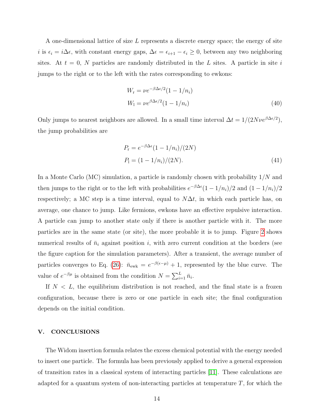A one-dimensional lattice of size L represents a discrete energy space; the energy of site i is  $\epsilon_i = i\Delta\epsilon$ , with constant energy gaps,  $\Delta\epsilon = \epsilon_{i+1} - \epsilon_i \geq 0$ , between any two neighboring sites. At  $t = 0$ , N particles are randomly distributed in the L sites. A particle in site i jumps to the right or to the left with the rates corresponding to ewkons:

<span id="page-13-1"></span>
$$
W_{\rm r} = \nu e^{-\beta \Delta \epsilon/2} (1 - 1/n_i)
$$
  
\n
$$
W_{\rm l} = \nu e^{\beta \Delta \epsilon/2} (1 - 1/n_i)
$$
\n(40)

Only jumps to nearest neighbors are allowed. In a small time interval  $\Delta t = 1/(2N\nu e^{\beta \Delta \epsilon/2})$ , the jump probabilities are

$$
P_{\rm r} = e^{-\beta \Delta \epsilon} (1 - 1/n_i)/(2N)
$$
  
\n
$$
P_{\rm l} = (1 - 1/n_i)/(2N).
$$
\n(41)

In a Monte Carlo (MC) simulation, a particle is randomly chosen with probability  $1/N$  and then jumps to the right or to the left with probabilities  $e^{-\beta \Delta \epsilon} (1 - 1/n_i)/2$  and  $(1 - 1/n_i)/2$ respectively; a MC step is a time interval, equal to  $N\Delta t$ , in which each particle has, on average, one chance to jump. Like fermions, ewkons have an effective repulsive interaction. A particle can jump to another state only if there is another particle with it. The more particles are in the same state (or site), the more probable it is to jump. Figure [2](#page-14-0) shows numerical results of  $\bar{n}_i$  against position i, with zero current condition at the borders (see the figure caption for the simulation parameters). After a transient, the average number of particles converges to Eq. [\(26\)](#page-8-0):  $\bar{n}_{ewk} = e^{-\beta(\epsilon-\mu)} + 1$ , represented by the blue curve. The value of  $e^{-\beta \mu}$  is obtained from the condition  $N = \sum_{i=1}^{L} \bar{n}_i$ .

If  $N < L$ , the equilibrium distribution is not reached, and the final state is a frozen configuration, because there is zero or one particle in each site; the final configuration depends on the initial condition.

# <span id="page-13-0"></span>V. CONCLUSIONS

The Widom insertion formula relates the excess chemical potential with the energy needed to insert one particle. The formula has been previously applied to derive a general expression of transition rates in a classical system of interacting particles [\[11\]](#page-16-10). These calculations are adapted for a quantum system of non-interacting particles at temperature  $T$ , for which the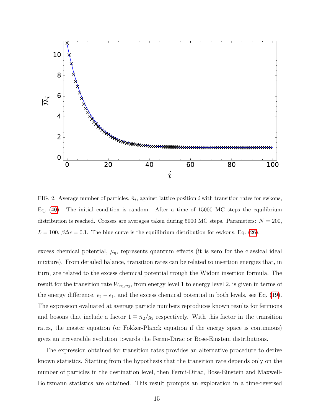

<span id="page-14-0"></span>FIG. 2. Average number of particles,  $\bar{n}_i$ , against lattice position i with transition rates for ewkons, Eq. [\(40\)](#page-13-1). The initial condition is random. After a time of 15000 MC steps the equilibrium distribution is reached. Crosses are averages taken during 5000 MC steps. Parameters:  $N = 200$ ,  $L = 100, \beta \Delta \epsilon = 0.1$ . The blue curve is the equilibrium distribution for ewkons, Eq. [\(26\)](#page-8-0).

excess chemical potential,  $\mu_{q}$ , represents quantum effects (it is zero for the classical ideal mixture). From detailed balance, transition rates can be related to insertion energies that, in turn, are related to the excess chemical potential trough the Widom insertion formula. The result for the transition rate  $W_{n_1,n_2}$ , from energy level 1 to energy level 2, is given in terms of the energy difference,  $\epsilon_2 - \epsilon_1$ , and the excess chemical potential in both levels, see Eq. [\(19\)](#page-6-1). The expression evaluated at average particle numbers reproduces known results for fermions and bosons that include a factor  $1 \mp \bar{n}_2/g_2$  respectively. With this factor in the transition rates, the master equation (or Fokker-Planck equation if the energy space is continuous) gives an irreversible evolution towards the Fermi-Dirac or Bose-Einstein distributions.

The expression obtained for transition rates provides an alternative procedure to derive known statistics. Starting from the hypothesis that the transition rate depends only on the number of particles in the destination level, then Fermi-Dirac, Bose-Einstein and Maxwell-Boltzmann statistics are obtained. This result prompts an exploration in a time-reversed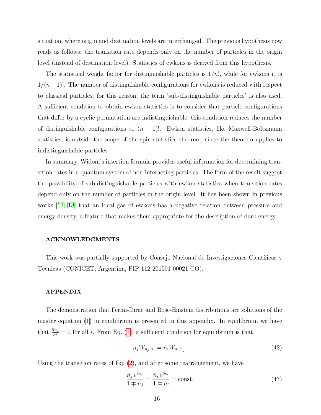situation, where origin and destination levels are interchanged. The previous hypothesis now reads as follows: the transition rate depends only on the number of particles in the origin level (instead of destination level). Statistics of ewkons is derived from this hypothesis.

The statistical weight factor for distinguishable particles is  $1/n!$ , while for ewkons it is  $1/(n-1)!$ . The number of distinguishable configurations for ewkons is reduced with respect to classical particles; for this reason, the term 'sub-distinguishable particles' is also used. A sufficient condition to obtain ewkon statistics is to consider that particle configurations that differ by a cyclic permutation are indistinguishable; this condition reduces the number of distinguishable configurations to  $(n - 1)!$ . Ewkon statistics, like Maxwell-Boltzmann statistics, is outside the scope of the spin-statistics theorem, since the theorem applies to indistinguishable particles.

In summary, Widom's insertion formula provides useful information for determining transition rates in a quantum system of non-interacting particles. The form of the result suggest the possibility of sub-distinguishable particles with ewkon statistics when transition rates depend only on the number of particles in the origin level. It has been shown in previous works [\[13,](#page-16-12) [18\]](#page-17-2) that an ideal gas of ewkons has a negative relation between pressure and energy density, a feature that makes them appropriate for the description of dark energy.

### ACKNOWLEDGMENTS

This work was partially supported by Consejo Nacional de Investigaciones Científicas y Técnicas (CONICET, Argentina, PIP 112 201501 00021 CO).

#### APPENDIX

The demonstration that Fermi-Dirac and Bose-Einstein distributions are solutions of the master equation [\(1\)](#page-1-1) in equilibrium is presented in this appendix. In equilibrium we have that  $\frac{\partial \bar{n}_i}{\partial t} = 0$  for all *i*. From Eq. [\(1\)](#page-1-1), a sufficient condition for equilibrium is that

$$
\bar{n}_j W_{\bar{n}_j, \bar{n}_i} = \bar{n}_i W_{\bar{n}_i, \bar{n}_j}.
$$
\n
$$
(42)
$$

Using the transition rates of Eq.  $(2)$ , and after some rearrangement, we have

$$
\frac{\bar{n}_j e^{\beta \epsilon_j}}{1 \mp \bar{n}_j} = \frac{\bar{n}_i e^{\beta \epsilon_i}}{1 \mp \bar{n}_i} = \text{const.}
$$
\n(43)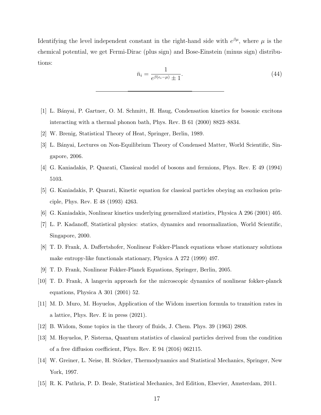Identifying the level independent constant in the right-hand side with  $e^{\beta \mu}$ , where  $\mu$  is the chemical potential, we get Fermi-Dirac (plus sign) and Bose-Einstein (minus sign) distributions:

$$
\bar{n}_i = \frac{1}{e^{\beta(\epsilon_i - \mu)} \pm 1}.\tag{44}
$$

- <span id="page-16-0"></span>[1] L. B´anyai, P. Gartner, O. M. Schmitt, H. Haug, Condensation kinetics for bosonic excitons interacting with a thermal phonon bath, Phys. Rev. B 61 (2000) 8823–8834.
- <span id="page-16-2"></span><span id="page-16-1"></span>[2] W. Brenig, Statistical Theory of Heat, Springer, Berlin, 1989.
- [3] L. Bányai, Lectures on Non-Equilibrium Theory of Condensed Matter, World Scientific, Singapore, 2006.
- <span id="page-16-3"></span>[4] G. Kaniadakis, P. Quarati, Classical model of bosons and fermions, Phys. Rev. E 49 (1994) 5103.
- <span id="page-16-4"></span>[5] G. Kaniadakis, P. Quarati, Kinetic equation for classical particles obeying an exclusion principle, Phys. Rev. E 48 (1993) 4263.
- <span id="page-16-6"></span><span id="page-16-5"></span>[6] G. Kaniadakis, Nonlinear kinetics underlying generalized statistics, Physica A 296 (2001) 405.
- [7] L. P. Kadanoff, Statistical physics: statics, dynamics and renormalization, World Scientific, Singapore, 2000.
- <span id="page-16-7"></span>[8] T. D. Frank, A. Daffertshofer, Nonlinear Fokker-Planck equations whose stationary solutions make entropy-like functionals stationary, Physica A 272 (1999) 497.
- <span id="page-16-9"></span><span id="page-16-8"></span>[9] T. D. Frank, Nonlinear Fokker-Planck Equations, Springer, Berlin, 2005.
- [10] T. D. Frank, A langevin approach for the microscopic dynamics of nonlinear fokker-planck equations, Physica A 301 (2001) 52.
- <span id="page-16-10"></span>[11] M. D. Muro, M. Hoyuelos, Application of the Widom insertion formula to transition rates in a lattice, Phys. Rev. E in press (2021).
- <span id="page-16-12"></span><span id="page-16-11"></span>[12] B. Widom, Some topics in the theory of fluids, J. Chem. Phys. 39 (1963) 2808.
- [13] M. Hoyuelos, P. Sisterna, Quantum statistics of classical particles derived from the condition of a free diffusion coefficient, Phys. Rev. E 94 (2016) 062115.
- <span id="page-16-13"></span>[14] W. Greiner, L. Neise, H. Stöcker, Thermodynamics and Statistical Mechanics, Springer, New York, 1997.
- <span id="page-16-14"></span>[15] R. K. Pathria, P. D. Beale, Statistical Mechanics, 3rd Edition, Elsevier, Amsterdam, 2011.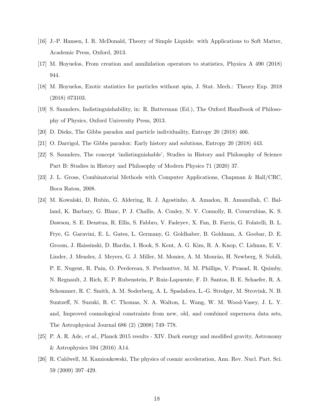- <span id="page-17-0"></span>[16] J.-P. Hansen, I. R. McDonald, Theory of Simple Liquids: with Applications to Soft Matter, Academic Press, Oxford, 2013.
- <span id="page-17-1"></span>[17] M. Hoyuelos, From creation and annihilation operators to statistics, Physica A 490 (2018) 944.
- <span id="page-17-2"></span>[18] M. Hoyuelos, Exotic statistics for particles without spin, J. Stat. Mech.: Theory Exp. 2018 (2018) 073103.
- <span id="page-17-3"></span>[19] S. Saunders, Indistinguishability, in: R. Batterman (Ed.), The Oxford Handbook of Philosophy of Physics, Oxford University Press, 2013.
- [20] D. Dieks, The Gibbs paradox and particle individuality, Entropy 20 (2018) 466.
- <span id="page-17-4"></span>[21] O. Darrigol, The Gibbs paradox: Early history and solutions, Entropy 20 (2018) 443.
- [22] S. Saunders, The concept 'indistinguishable', Studies in History and Philosophy of Science Part B: Studies in History and Philosophy of Modern Physics 71 (2020) 37.
- <span id="page-17-5"></span>[23] J. L. Gross, Combinatorial Methods with Computer Applications, Chapman & Hall/CRC, Boca Raton, 2008.
- <span id="page-17-6"></span>[24] M. Kowalski, D. Rubin, G. Aldering, R. J. Agostinho, A. Amadon, R. Amanullah, C. Balland, K. Barbary, G. Blanc, P. J. Challis, A. Conley, N. V. Connolly, R. Covarrubias, K. S. Dawson, S. E. Deustua, R. Ellis, S. Fabbro, V. Fadeyev, X. Fan, B. Farris, G. Folatelli, B. L. Frye, G. Garavini, E. L. Gates, L. Germany, G. Goldhaber, B. Goldman, A. Goobar, D. E. Groom, J. Haissinski, D. Hardin, I. Hook, S. Kent, A. G. Kim, R. A. Knop, C. Lidman, E. V. Linder, J. Mendez, J. Meyers, G. J. Miller, M. Moniez, A. M. Mourão, H. Newberg, S. Nobili, P. E. Nugent, R. Pain, O. Perdereau, S. Perlmutter, M. M. Phillips, V. Prasad, R. Quimby, N. Regnault, J. Rich, E. P. Rubenstein, P. Ruiz-Lapuente, F. D. Santos, B. E. Schaefer, R. A. Schommer, R. C. Smith, A. M. Soderberg, A. L. Spadafora, L.-G. Strolger, M. Strovink, N. B. Suntzeff, N. Suzuki, R. C. Thomas, N. A. Walton, L. Wang, W. M. Wood-Vasey, J. L. Y. and, Improved cosmological constraints from new, old, and combined supernova data sets, The Astrophysical Journal 686 (2) (2008) 749–778.
- <span id="page-17-7"></span>[25] P. A. R. Ade, et al., Planck 2015 results - XIV. Dark energy and modified gravity, Astronomy & Astrophysics 594 (2016) A14.
- <span id="page-17-8"></span>[26] R. Caldwell, M. Kamionkowski, The physics of cosmic acceleration, Ann. Rev. Nucl. Part. Sci. 59 (2009) 397–429.